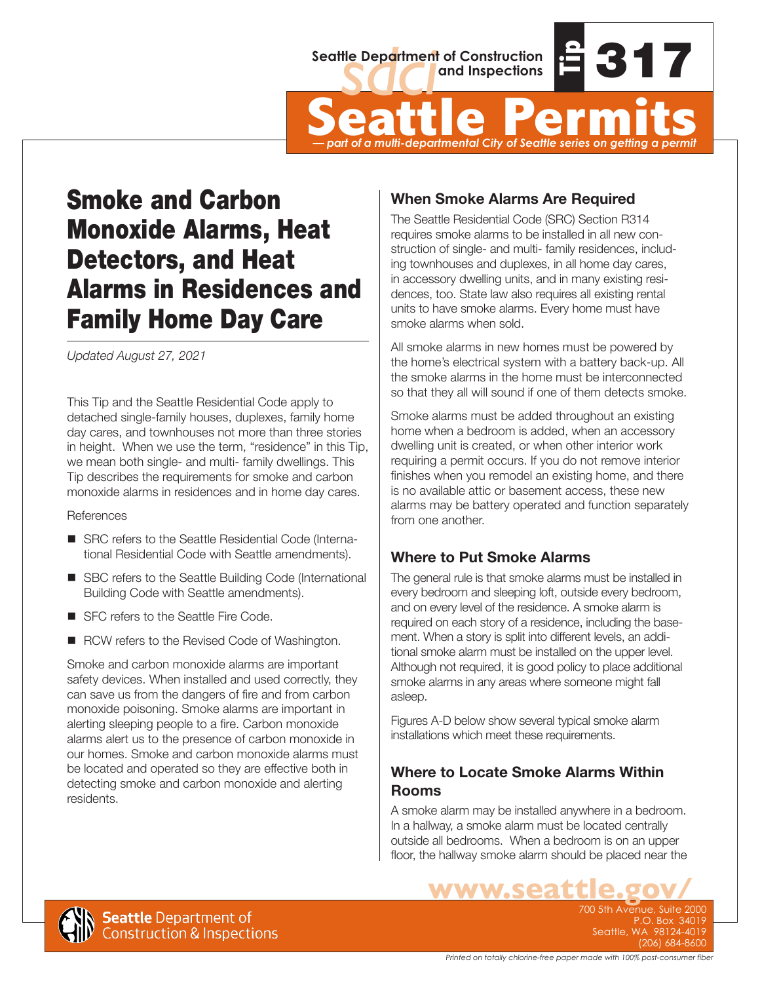

Seattle Department of Construction<br>
Seattle Permits<br>
Seattle Permits<br>
Part of a multi-departmental City of Seattle series on getting a permit *— part of a multi-departmental City of Seattle series on getting a permit*

# Smoke and Carbon Monoxide Alarms, Heat Detectors, and Heat Alarms in Residences and Family Home Day Care

*Updated August 27, 2021*

This Tip and the Seattle Residential Code apply to detached single-family houses, duplexes, family home day cares, and townhouses not more than three stories in height. When we use the term, "residence" in this Tip, we mean both single- and multi- family dwellings. This Tip describes the requirements for smoke and carbon monoxide alarms in residences and in home day cares.

**References** 

- SRC refers to the Seattle Residential Code (International Residential Code with Seattle amendments).
- SBC refers to the Seattle Building Code (International Building Code with Seattle amendments).
- SFC refers to the Seattle Fire Code.
- RCW refers to the Revised Code of Washington.

Smoke and carbon monoxide alarms are important safety devices. When installed and used correctly, they can save us from the dangers of fire and from carbon monoxide poisoning. Smoke alarms are important in alerting sleeping people to a fire. Carbon monoxide alarms alert us to the presence of carbon monoxide in our homes. Smoke and carbon monoxide alarms must be located and operated so they are effective both in detecting smoke and carbon monoxide and alerting residents.

# **When Smoke Alarms Are Required**

The Seattle Residential Code (SRC) Section R314 requires smoke alarms to be installed in all new construction of single- and multi- family residences, including townhouses and duplexes, in all home day cares, in accessory dwelling units, and in many existing residences, too. State law also requires all existing rental units to have smoke alarms. Every home must have smoke alarms when sold.

All smoke alarms in new homes must be powered by the home's electrical system with a battery back-up. All the smoke alarms in the home must be interconnected so that they all will sound if one of them detects smoke.

Smoke alarms must be added throughout an existing home when a bedroom is added, when an accessory dwelling unit is created, or when other interior work requiring a permit occurs. If you do not remove interior finishes when you remodel an existing home, and there is no available attic or basement access, these new alarms may be battery operated and function separately from one another.

## **Where to Put Smoke Alarms**

The general rule is that smoke alarms must be installed in every bedroom and sleeping loft, outside every bedroom, and on every level of the residence. A smoke alarm is required on each story of a residence, including the basement. When a story is split into different levels, an additional smoke alarm must be installed on the upper level. Although not required, it is good policy to place additional smoke alarms in any areas where someone might fall asleep.

Figures A-D below show several typical smoke alarm installations which meet these requirements.

## **Where to Locate Smoke Alarms Within Rooms**

A smoke alarm may be installed anywhere in a bedroom. In a hallway, a smoke alarm must be located centrally outside all bedrooms. When a bedroom is on an upper floor, the hallway smoke alarm should be placed near the

> **WWW.SEATTLE.gov/** P.O. Box 34019 Seattle, WA 98124-4019 (206) 684-8600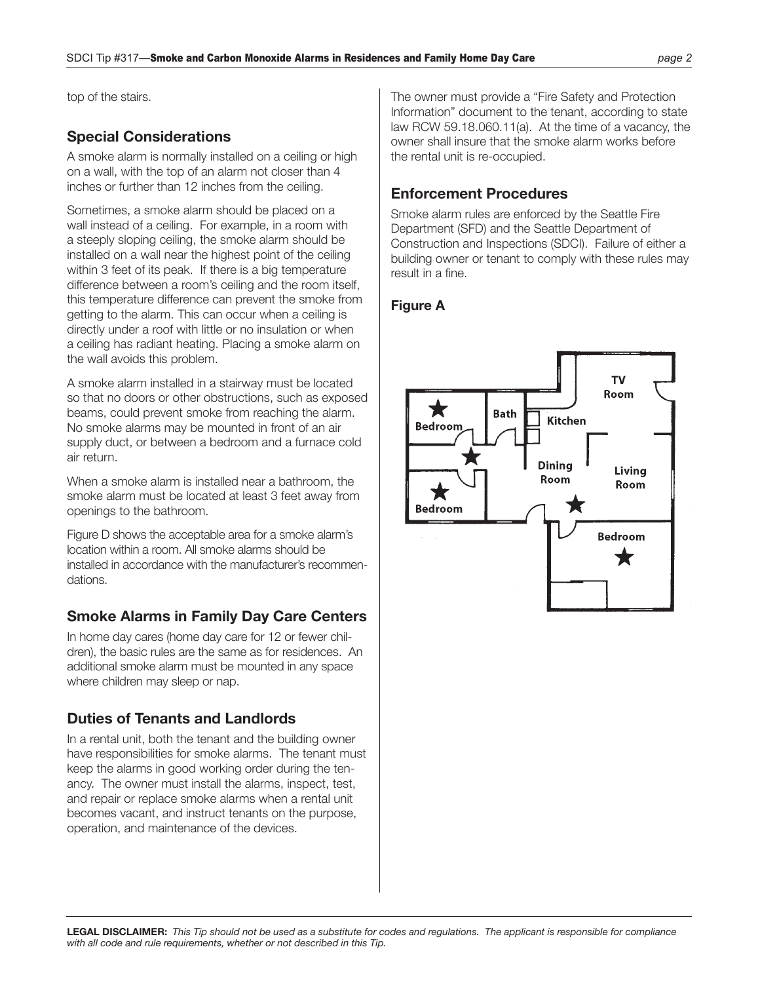top of the stairs.

#### **Special Considerations**

A smoke alarm is normally installed on a ceiling or high on a wall, with the top of an alarm not closer than 4 inches or further than 12 inches from the ceiling.

Sometimes, a smoke alarm should be placed on a wall instead of a ceiling. For example, in a room with a steeply sloping ceiling, the smoke alarm should be installed on a wall near the highest point of the ceiling within 3 feet of its peak. If there is a big temperature difference between a room's ceiling and the room itself, this temperature difference can prevent the smoke from getting to the alarm. This can occur when a ceiling is directly under a roof with little or no insulation or when a ceiling has radiant heating. Placing a smoke alarm on the wall avoids this problem.

A smoke alarm installed in a stairway must be located so that no doors or other obstructions, such as exposed beams, could prevent smoke from reaching the alarm. No smoke alarms may be mounted in front of an air supply duct, or between a bedroom and a furnace cold air return.

When a smoke alarm is installed near a bathroom, the smoke alarm must be located at least 3 feet away from openings to the bathroom.

Figure D shows the acceptable area for a smoke alarm's location within a room. All smoke alarms should be installed in accordance with the manufacturer's recommendations.

#### **Smoke Alarms in Family Day Care Centers**

In home day cares (home day care for 12 or fewer children), the basic rules are the same as for residences. An additional smoke alarm must be mounted in any space where children may sleep or nap.

#### **Duties of Tenants and Landlords**

In a rental unit, both the tenant and the building owner have responsibilities for smoke alarms. The tenant must keep the alarms in good working order during the tenancy. The owner must install the alarms, inspect, test, and repair or replace smoke alarms when a rental unit becomes vacant, and instruct tenants on the purpose, operation, and maintenance of the devices.

The owner must provide a "Fire Safety and Protection Information" document to the tenant, according to state law RCW 59.18.060.11(a). At the time of a vacancy, the owner shall insure that the smoke alarm works before the rental unit is re-occupied.

#### **Enforcement Procedures**

Smoke alarm rules are enforced by the Seattle Fire Department (SFD) and the Seattle Department of Construction and Inspections (SDCI). Failure of either a building owner or tenant to comply with these rules may result in a fine.

#### **Figure A**

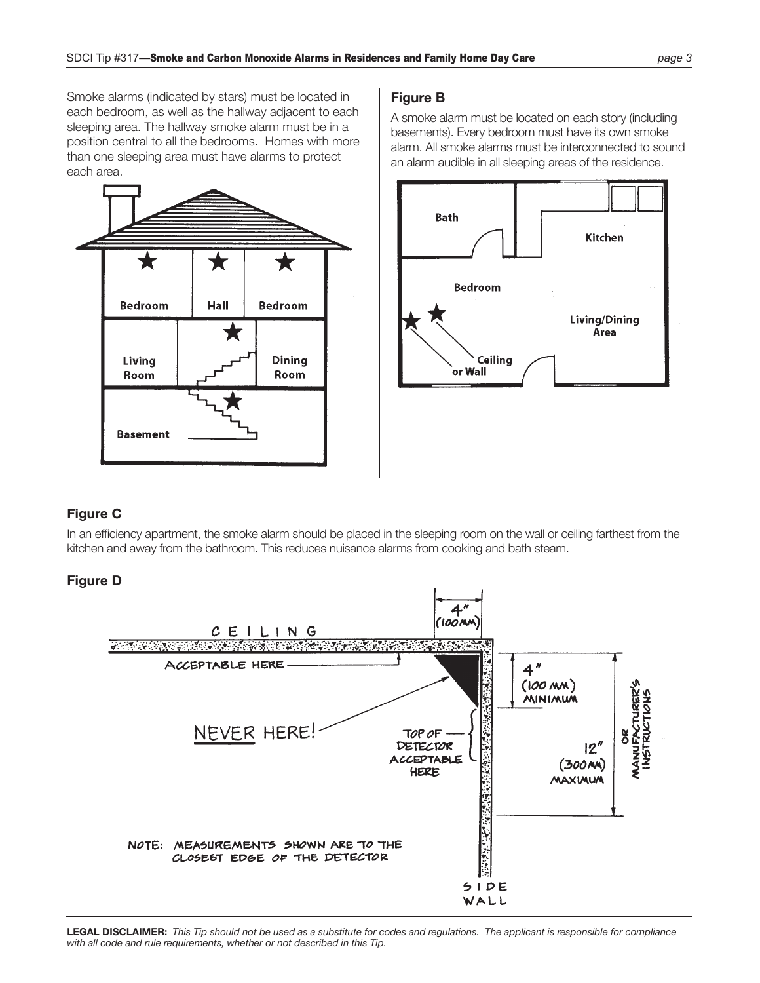Smoke alarms (indicated by stars) must be located in each bedroom, as well as the hallway adjacent to each sleeping area. The hallway smoke alarm must be in a position central to all the bedrooms. Homes with more than one sleeping area must have alarms to protect each area.



#### **Figure B**

A smoke alarm must be located on each story (including basements). Every bedroom must have its own smoke alarm. All smoke alarms must be interconnected to sound an alarm audible in all sleeping areas of the residence.



#### **Figure C**

In an efficiency apartment, the smoke alarm should be placed in the sleeping room on the wall or ceiling farthest from the kitchen and away from the bathroom. This reduces nuisance alarms from cooking and bath steam.

#### **Figure D**



**LEGAL DISCLAIMER:** *This Tip should not be used as a substitute for codes and regulations. The applicant is responsible for compliance with all code and rule requirements, whether or not described in this Tip.*